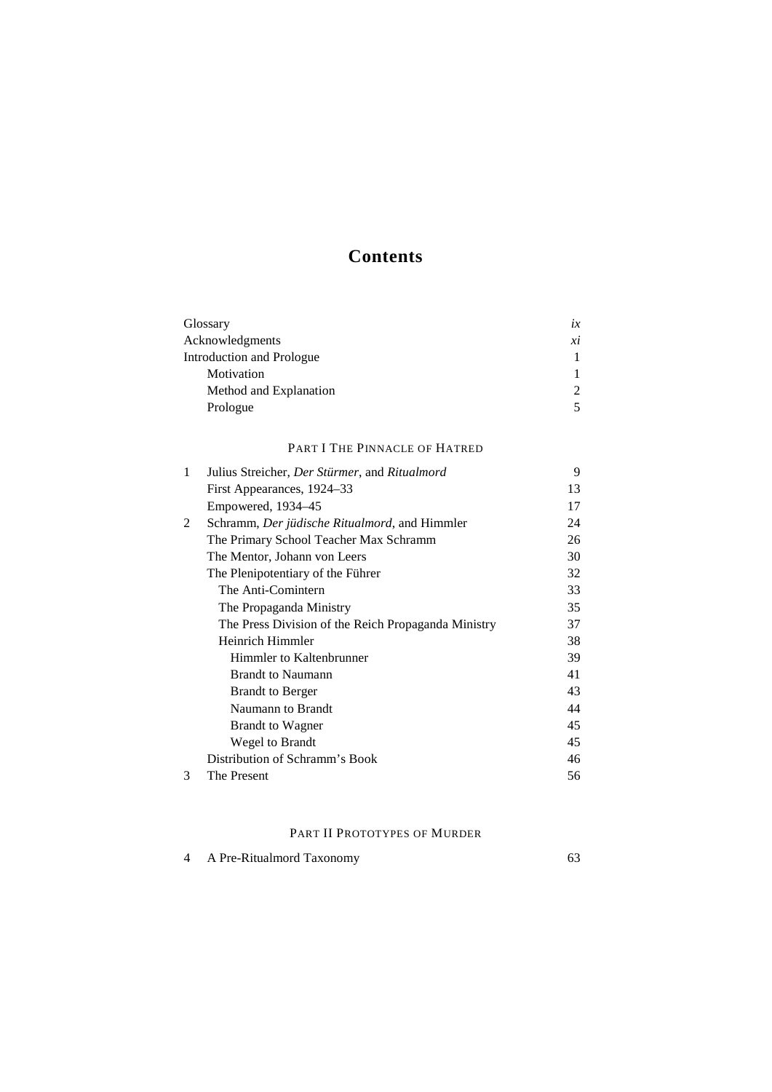# **Contents**

| Glossary                  | $l\mathcal{X}$ |
|---------------------------|----------------|
| Acknowledgments           | хi             |
| Introduction and Prologue |                |
| Motivation                |                |
| Method and Explanation    |                |
| Prologue                  |                |
|                           |                |

# PART I THE PINNACLE OF HATRED

| 1 | Julius Streicher, <i>Der Stürmer</i> , and <i>Ritualmord</i> | 9  |
|---|--------------------------------------------------------------|----|
|   | First Appearances, 1924–33                                   | 13 |
|   | Empowered, 1934–45                                           | 17 |
| 2 | Schramm, <i>Der jüdische Ritualmord</i> , and Himmler        | 24 |
|   | The Primary School Teacher Max Schramm                       | 26 |
|   | The Mentor, Johann von Leers                                 | 30 |
|   | The Plenipotentiary of the Führer                            | 32 |
|   | The Anti-Comintern                                           | 33 |
|   | The Propaganda Ministry                                      | 35 |
|   | The Press Division of the Reich Propaganda Ministry          | 37 |
|   | Heinrich Himmler                                             | 38 |
|   | Himmler to Kaltenbrunner                                     | 39 |
|   | <b>Brandt to Naumann</b>                                     | 41 |
|   | <b>Brandt to Berger</b>                                      | 43 |
|   | Naumann to Brandt                                            | 44 |
|   | <b>Brandt to Wagner</b>                                      | 45 |
|   | Wegel to Brandt                                              | 45 |
|   | Distribution of Schramm's Book                               | 46 |
| 3 | The Present                                                  | 56 |

# PART II PROTOTYPES OF MURDER

| A Pre-Ritualmord Taxonomy |  |
|---------------------------|--|
|                           |  |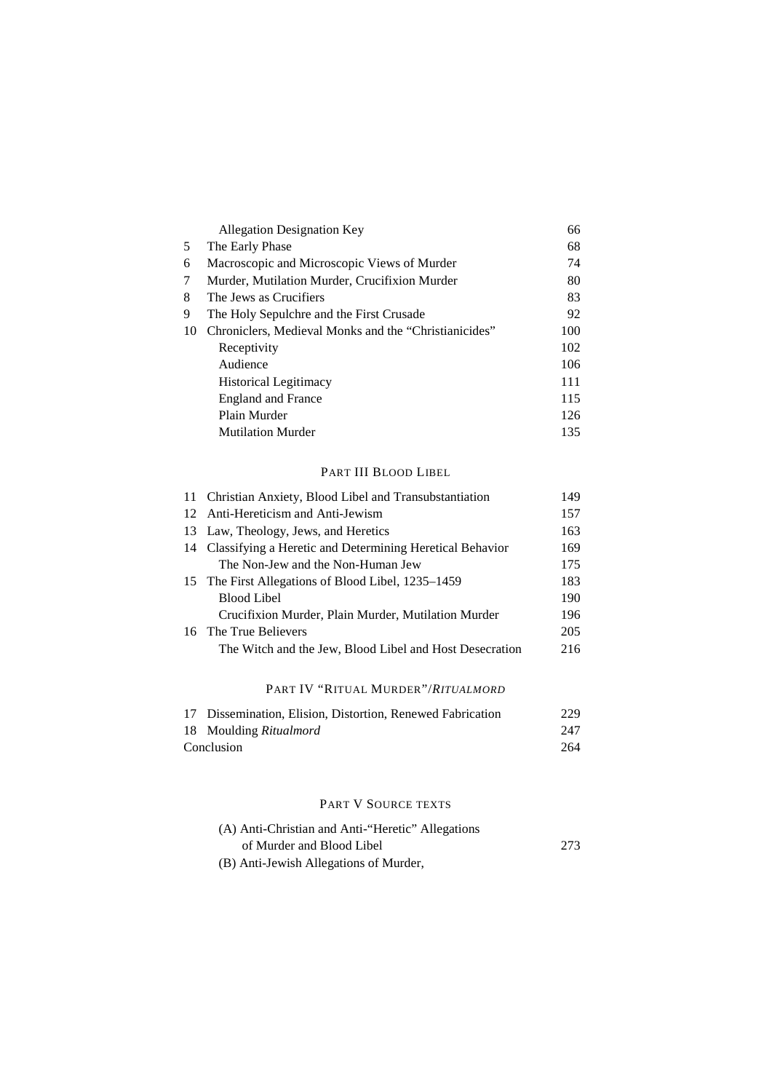| <b>Allegation Designation Key</b>                     | 66  |
|-------------------------------------------------------|-----|
| The Early Phase                                       | 68  |
| Macroscopic and Microscopic Views of Murder           | 74  |
| Murder, Mutilation Murder, Crucifixion Murder         | 80  |
| The Jews as Crucifiers                                | 83  |
| The Holy Sepulchre and the First Crusade              | 92  |
| Chroniclers, Medieval Monks and the "Christianicides" | 100 |
| Receptivity                                           | 102 |
| Audience                                              | 106 |
| <b>Historical Legitimacy</b>                          | 111 |
| <b>England and France</b>                             | 115 |
| Plain Murder                                          | 126 |
| <b>Mutilation Murder</b>                              | 135 |
|                                                       |     |

# PART III BLOOD LIBEL

| 11 Christian Anxiety, Blood Libel and Transubstantiation    | 149 |
|-------------------------------------------------------------|-----|
| 12 Anti-Hereticism and Anti-Jewism                          | 157 |
| 13 Law, Theology, Jews, and Heretics                        | 163 |
| 14 Classifying a Heretic and Determining Heretical Behavior | 169 |
| The Non-Jew and the Non-Human Jew                           | 175 |
| 15 The First Allegations of Blood Libel, 1235–1459          | 183 |
| <b>Blood Libel</b>                                          | 190 |
| Crucifixion Murder, Plain Murder, Mutilation Murder         | 196 |
| 16 The True Believers                                       | 205 |
| The Witch and the Jew, Blood Libel and Host Desecration     | 216 |
|                                                             |     |
| PART IV "RITUAL MURDER"/ <i>RITUALMORD</i>                  |     |

| 17 Dissemination, Elision, Distortion, Renewed Fabrication | 229 |
|------------------------------------------------------------|-----|
| 18 Moulding Ritualmord                                     | 247 |
| Conclusion                                                 | 264 |

# PART V SOURCE TEXTS

| (A) Anti-Christian and Anti-"Heretic" Allegations |     |
|---------------------------------------------------|-----|
| of Murder and Blood Libel                         | 273 |
| (B) Anti-Jewish Allegations of Murder,            |     |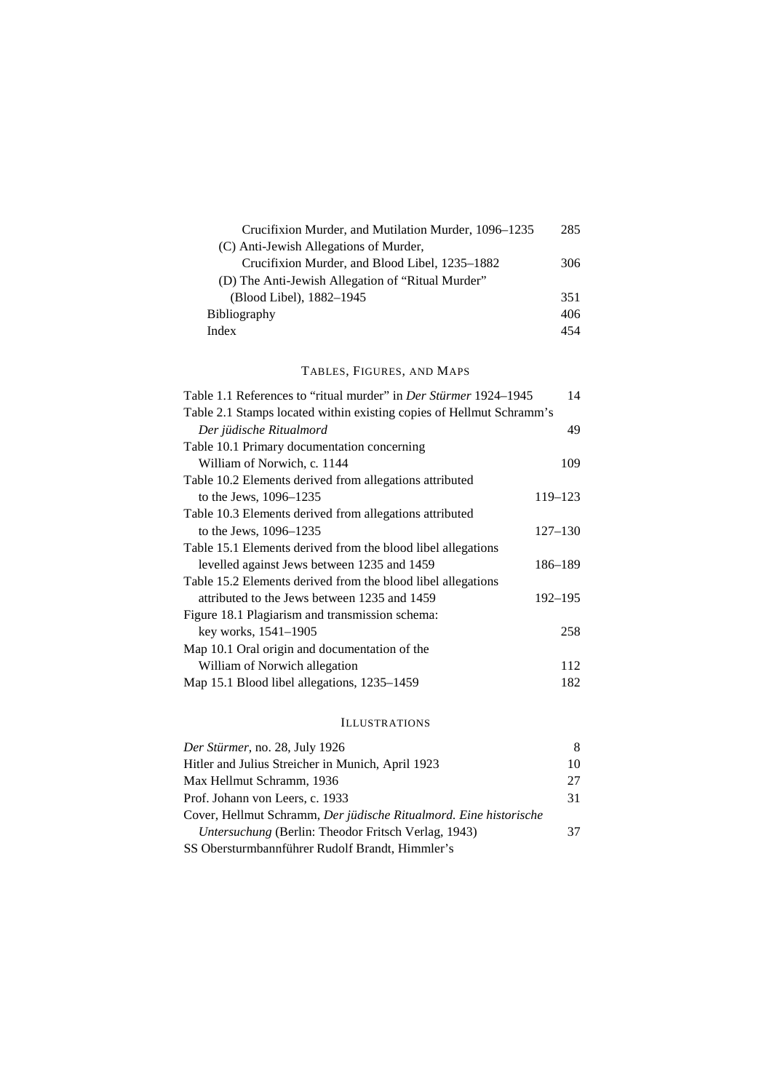| Crucifixion Murder, and Mutilation Murder, 1096–1235 | 285 |
|------------------------------------------------------|-----|
| (C) Anti-Jewish Allegations of Murder,               |     |
| Crucifixion Murder, and Blood Libel, 1235–1882       | 306 |
| (D) The Anti-Jewish Allegation of "Ritual Murder"    |     |
| (Blood Libel), 1882–1945                             | 351 |
| <b>Bibliography</b>                                  | 406 |
| Index                                                | 454 |

### TABLES, FIGURES, AND MAPS

| Table 1.1 References to "ritual murder" in <i>Der Stürmer</i> 1924–1945 | 14          |
|-------------------------------------------------------------------------|-------------|
| Table 2.1 Stamps located within existing copies of Hellmut Schramm's    |             |
| Der jüdische Ritualmord                                                 | 49          |
| Table 10.1 Primary documentation concerning                             |             |
| William of Norwich, c. 1144                                             | 109         |
| Table 10.2 Elements derived from allegations attributed                 |             |
| to the Jews, $1096 - 1235$                                              | 119-123     |
| Table 10.3 Elements derived from allegations attributed                 |             |
| to the Jews, $1096 - 1235$                                              | $127 - 130$ |
| Table 15.1 Elements derived from the blood libel allegations            |             |
| levelled against Jews between 1235 and 1459                             | 186–189     |
| Table 15.2 Elements derived from the blood libel allegations            |             |
| attributed to the Jews between 1235 and 1459                            | 192-195     |
| Figure 18.1 Plagiarism and transmission schema:                         |             |
| key works, 1541–1905                                                    | 258         |
| Map 10.1 Oral origin and documentation of the                           |             |
| William of Norwich allegation                                           | 112         |
| Map 15.1 Blood libel allegations, 1235–1459                             | 182         |
|                                                                         |             |

# ILLUSTRATIONS

| Der Stürmer, no. 28, July 1926                                    | 8  |
|-------------------------------------------------------------------|----|
| Hitler and Julius Streicher in Munich, April 1923                 | 10 |
| Max Hellmut Schramm, 1936                                         | 27 |
| Prof. Johann von Leers, c. 1933                                   | 31 |
| Cover, Hellmut Schramm, Der jüdische Ritualmord. Eine historische |    |
| <i>Untersuchung</i> (Berlin: Theodor Fritsch Verlag, 1943)        | 37 |
| SS Obersturmbannführer Rudolf Brandt, Himmler's                   |    |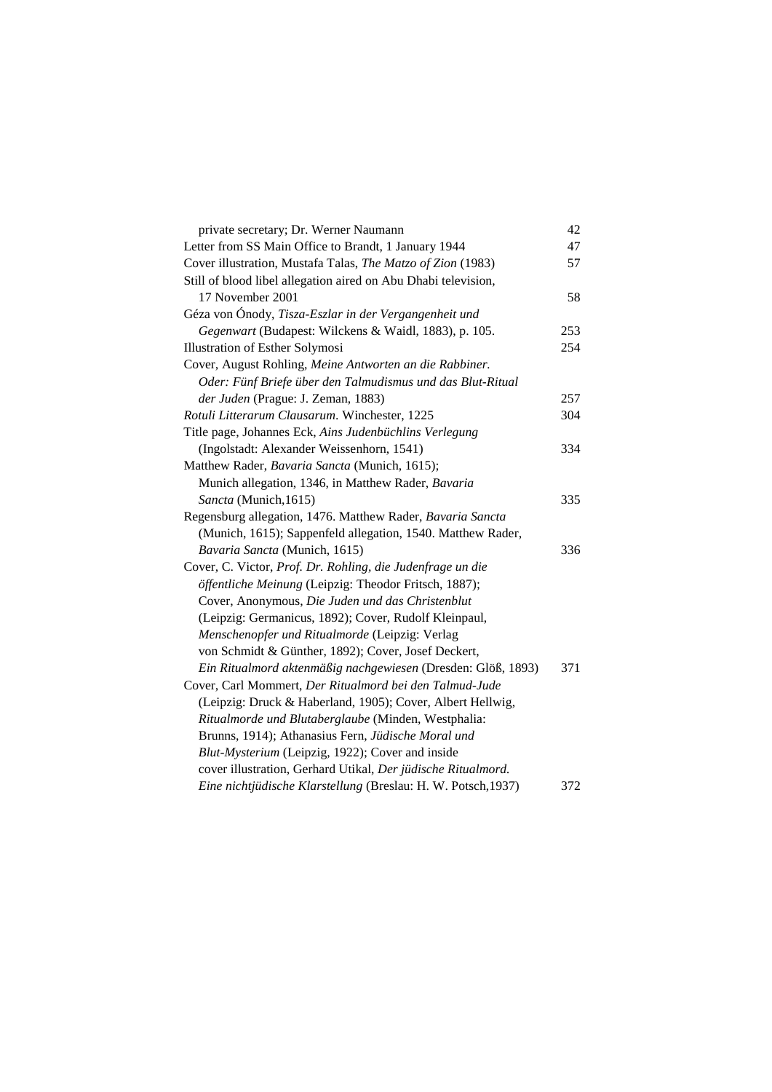| private secretary; Dr. Werner Naumann                          | 42  |
|----------------------------------------------------------------|-----|
| Letter from SS Main Office to Brandt, 1 January 1944           | 47  |
| Cover illustration, Mustafa Talas, The Matzo of Zion (1983)    | 57  |
| Still of blood libel allegation aired on Abu Dhabi television, |     |
| 17 November 2001                                               | 58  |
| Géza von Ónody, Tisza-Eszlar in der Vergangenheit und          |     |
| Gegenwart (Budapest: Wilckens & Waidl, 1883), p. 105.          | 253 |
| Illustration of Esther Solymosi                                | 254 |
| Cover, August Rohling, Meine Antworten an die Rabbiner.        |     |
| Oder: Fünf Briefe über den Talmudismus und das Blut-Ritual     |     |
| der Juden (Prague: J. Zeman, 1883)                             | 257 |
| Rotuli Litterarum Clausarum. Winchester, 1225                  | 304 |
| Title page, Johannes Eck, Ains Judenbüchlins Verlegung         |     |
| (Ingolstadt: Alexander Weissenhorn, 1541)                      | 334 |
| Matthew Rader, Bavaria Sancta (Munich, 1615);                  |     |
| Munich allegation, 1346, in Matthew Rader, Bavaria             |     |
| Sancta (Munich, 1615)                                          | 335 |
| Regensburg allegation, 1476. Matthew Rader, Bavaria Sancta     |     |
| (Munich, 1615); Sappenfeld allegation, 1540. Matthew Rader,    |     |
| Bavaria Sancta (Munich, 1615)                                  | 336 |
| Cover, C. Victor, Prof. Dr. Rohling, die Judenfrage un die     |     |
| öffentliche Meinung (Leipzig: Theodor Fritsch, 1887);          |     |
| Cover, Anonymous, Die Juden und das Christenblut               |     |
| (Leipzig: Germanicus, 1892); Cover, Rudolf Kleinpaul,          |     |
| Menschenopfer und Ritualmorde (Leipzig: Verlag                 |     |
| von Schmidt & Günther, 1892); Cover, Josef Deckert,            |     |
| Ein Ritualmord aktenmäßig nachgewiesen (Dresden: Glöß, 1893)   | 371 |
| Cover, Carl Mommert, Der Ritualmord bei den Talmud-Jude        |     |
| (Leipzig: Druck & Haberland, 1905); Cover, Albert Hellwig,     |     |
| Ritualmorde und Blutaberglaube (Minden, Westphalia:            |     |
| Brunns, 1914); Athanasius Fern, Jüdische Moral und             |     |
| Blut-Mysterium (Leipzig, 1922); Cover and inside               |     |
| cover illustration, Gerhard Utikal, Der jüdische Ritualmord.   |     |
| Eine nichtjüdische Klarstellung (Breslau: H. W. Potsch, 1937)  | 372 |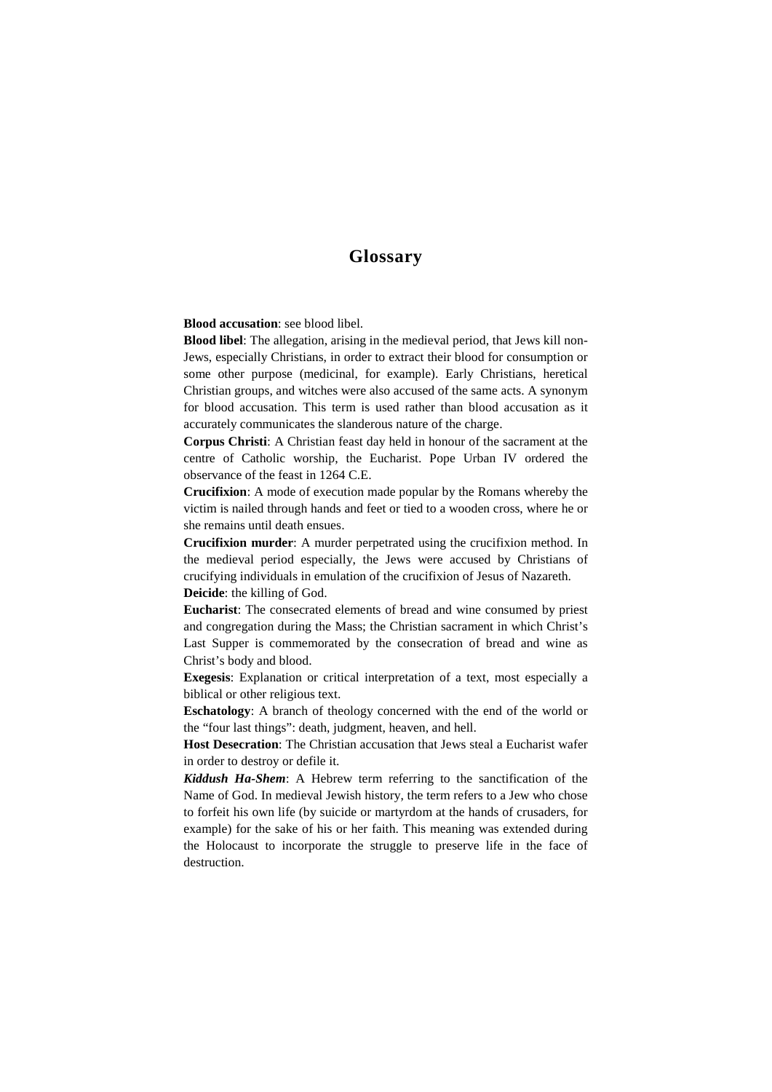# **Glossary**

**Blood accusation**: see blood libel.

**Blood libel**: The allegation, arising in the medieval period, that Jews kill non-Jews, especially Christians, in order to extract their blood for consumption or some other purpose (medicinal, for example). Early Christians, heretical Christian groups, and witches were also accused of the same acts. A synonym for blood accusation. This term is used rather than blood accusation as it accurately communicates the slanderous nature of the charge.

**Corpus Christi**: A Christian feast day held in honour of the sacrament at the centre of Catholic worship, the Eucharist. Pope Urban IV ordered the observance of the feast in 1264 C.E.

**Crucifixion**: A mode of execution made popular by the Romans whereby the victim is nailed through hands and feet or tied to a wooden cross, where he or she remains until death ensues.

**Crucifixion murder**: A murder perpetrated using the crucifixion method. In the medieval period especially, the Jews were accused by Christians of crucifying individuals in emulation of the crucifixion of Jesus of Nazareth. **Deicide**: the killing of God.

**Eucharist**: The consecrated elements of bread and wine consumed by priest and congregation during the Mass; the Christian sacrament in which Christ's Last Supper is commemorated by the consecration of bread and wine as Christ's body and blood.

**Exegesis**: Explanation or critical interpretation of a text, most especially a biblical or other religious text.

**Eschatology**: A branch of theology concerned with the end of the world or the "four last things": death, judgment, heaven, and hell.

**Host Desecration**: The Christian accusation that Jews steal a Eucharist wafer in order to destroy or defile it.

*Kiddush Ha-Shem*: A Hebrew term referring to the sanctification of the Name of God. In medieval Jewish history, the term refers to a Jew who chose to forfeit his own life (by suicide or martyrdom at the hands of crusaders, for example) for the sake of his or her faith. This meaning was extended during the Holocaust to incorporate the struggle to preserve life in the face of destruction.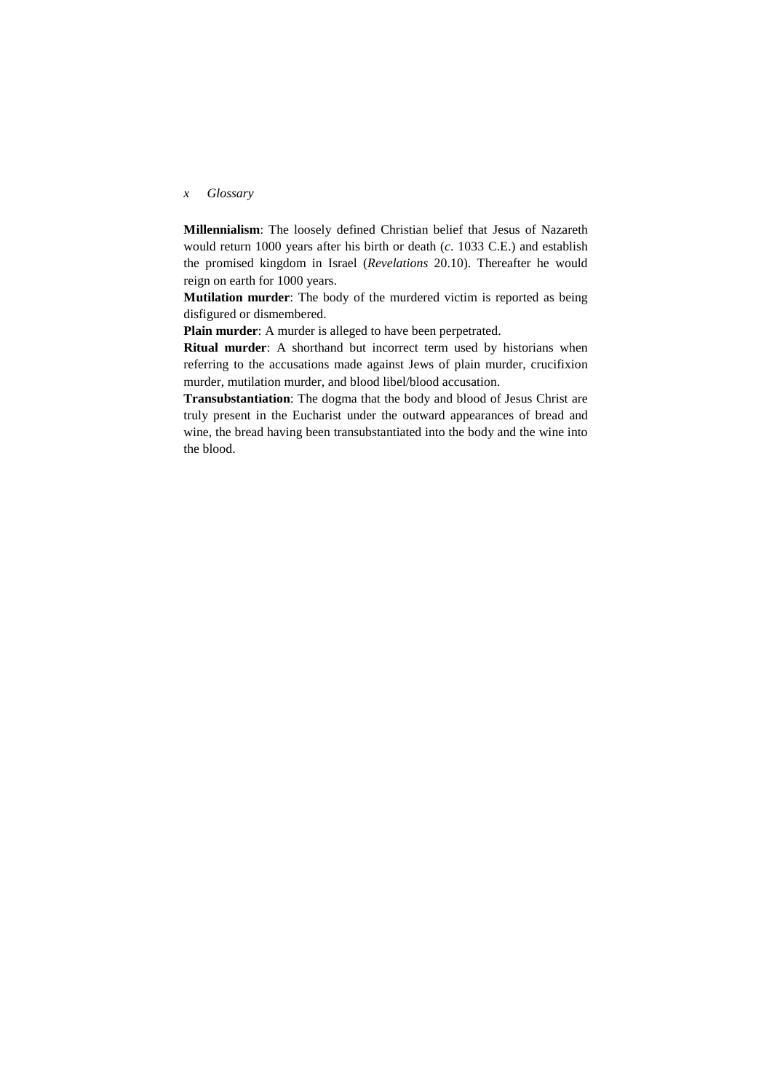## *x Glossary*

**Millennialism**: The loosely defined Christian belief that Jesus of Nazareth would return 1000 years after his birth or death (*c*. 1033 C.E.) and establish the promised kingdom in Israel (*Revelations* 20.10). Thereafter he would reign on earth for 1000 years.

**Mutilation murder**: The body of the murdered victim is reported as being disfigured or dismembered.

**Plain murder**: A murder is alleged to have been perpetrated.

**Ritual murder**: A shorthand but incorrect term used by historians when referring to the accusations made against Jews of plain murder, crucifixion murder, mutilation murder, and blood libel/blood accusation.

**Transubstantiation**: The dogma that the body and blood of Jesus Christ are truly present in the Eucharist under the outward appearances of bread and wine, the bread having been transubstantiated into the body and the wine into the blood.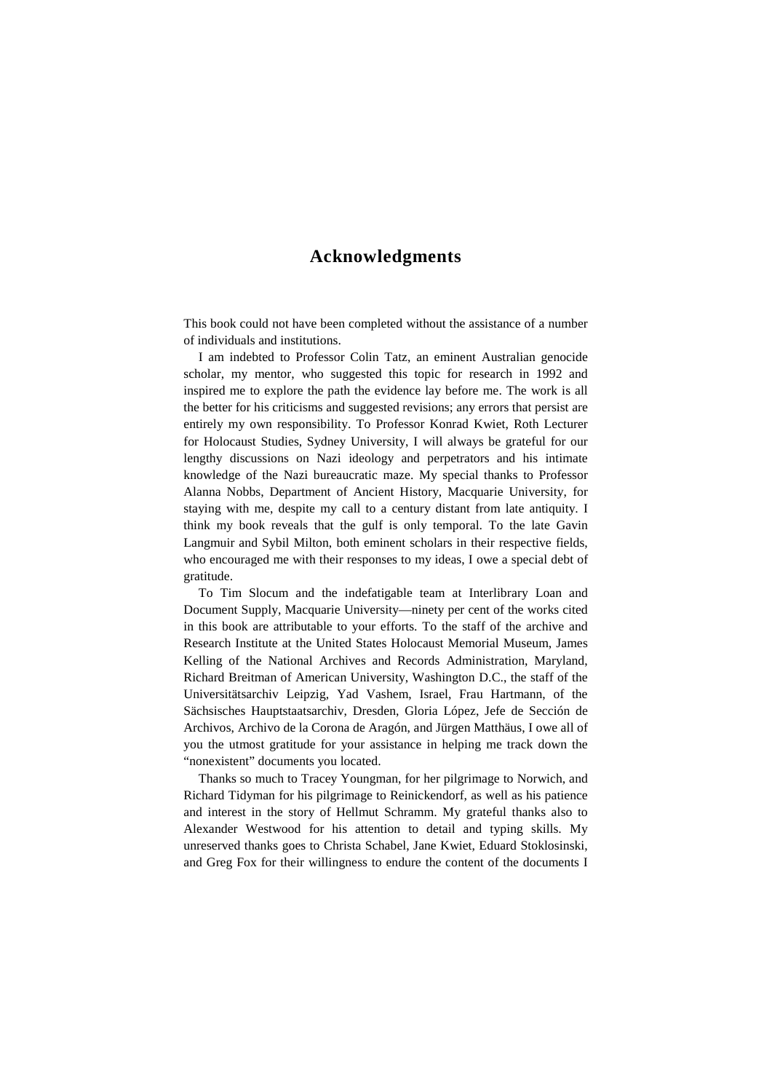# **Acknowledgments**

This book could not have been completed without the assistance of a number of individuals and institutions.

I am indebted to Professor Colin Tatz, an eminent Australian genocide scholar, my mentor, who suggested this topic for research in 1992 and inspired me to explore the path the evidence lay before me. The work is all the better for his criticisms and suggested revisions; any errors that persist are entirely my own responsibility. To Professor Konrad Kwiet, Roth Lecturer for Holocaust Studies, Sydney University, I will always be grateful for our lengthy discussions on Nazi ideology and perpetrators and his intimate knowledge of the Nazi bureaucratic maze. My special thanks to Professor Alanna Nobbs, Department of Ancient History, Macquarie University, for staying with me, despite my call to a century distant from late antiquity. I think my book reveals that the gulf is only temporal. To the late Gavin Langmuir and Sybil Milton, both eminent scholars in their respective fields, who encouraged me with their responses to my ideas, I owe a special debt of gratitude.

To Tim Slocum and the indefatigable team at Interlibrary Loan and Document Supply, Macquarie University—ninety per cent of the works cited in this book are attributable to your efforts. To the staff of the archive and Research Institute at the United States Holocaust Memorial Museum, James Kelling of the National Archives and Records Administration, Maryland, Richard Breitman of American University, Washington D.C., the staff of the Universitätsarchiv Leipzig, Yad Vashem, Israel, Frau Hartmann, of the Sächsisches Hauptstaatsarchiv, Dresden, Gloria López, Jefe de Sección de Archivos, Archivo de la Corona de Aragón, and Jürgen Matthäus, I owe all of you the utmost gratitude for your assistance in helping me track down the "nonexistent" documents you located.

Thanks so much to Tracey Youngman, for her pilgrimage to Norwich, and Richard Tidyman for his pilgrimage to Reinickendorf, as well as his patience and interest in the story of Hellmut Schramm. My grateful thanks also to Alexander Westwood for his attention to detail and typing skills. My unreserved thanks goes to Christa Schabel, Jane Kwiet, Eduard Stoklosinski, and Greg Fox for their willingness to endure the content of the documents I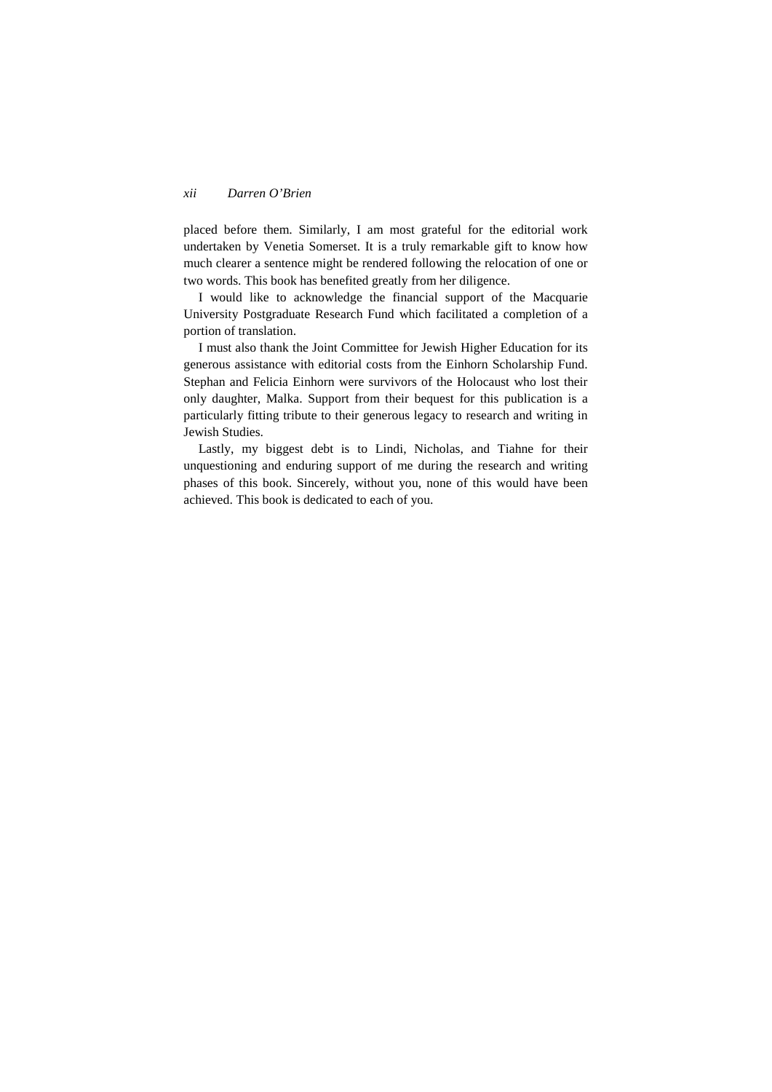### *xii Darren O'Brien*

placed before them. Similarly, I am most grateful for the editorial work undertaken by Venetia Somerset. It is a truly remarkable gift to know how much clearer a sentence might be rendered following the relocation of one or two words. This book has benefited greatly from her diligence.

I would like to acknowledge the financial support of the Macquarie University Postgraduate Research Fund which facilitated a completion of a portion of translation.

I must also thank the Joint Committee for Jewish Higher Education for its generous assistance with editorial costs from the Einhorn Scholarship Fund. Stephan and Felicia Einhorn were survivors of the Holocaust who lost their only daughter, Malka. Support from their bequest for this publication is a particularly fitting tribute to their generous legacy to research and writing in Jewish Studies.

Lastly, my biggest debt is to Lindi, Nicholas, and Tiahne for their unquestioning and enduring support of me during the research and writing phases of this book. Sincerely, without you, none of this would have been achieved. This book is dedicated to each of you.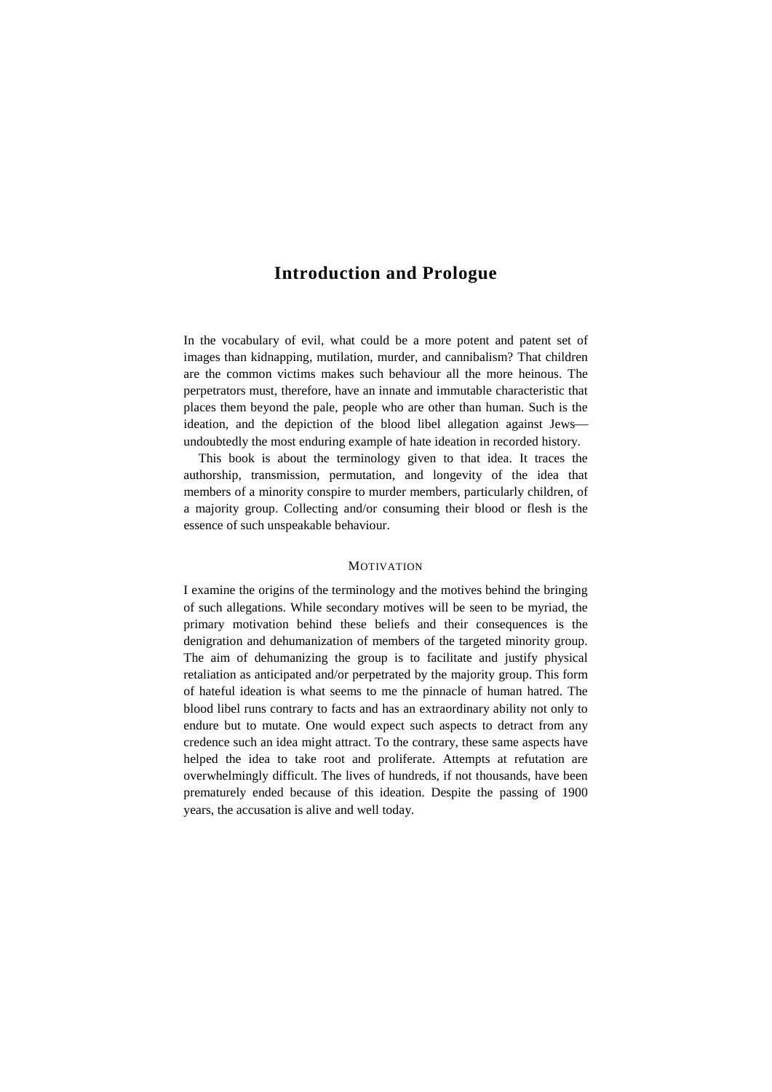# **Introduction and Prologue**

In the vocabulary of evil, what could be a more potent and patent set of images than kidnapping, mutilation, murder, and cannibalism? That children are the common victims makes such behaviour all the more heinous. The perpetrators must, therefore, have an innate and immutable characteristic that places them beyond the pale, people who are other than human. Such is the ideation, and the depiction of the blood libel allegation against Jews undoubtedly the most enduring example of hate ideation in recorded history.

This book is about the terminology given to that idea. It traces the authorship, transmission, permutation, and longevity of the idea that members of a minority conspire to murder members, particularly children, of a majority group. Collecting and/or consuming their blood or flesh is the essence of such unspeakable behaviour.

### **MOTIVATION**

I examine the origins of the terminology and the motives behind the bringing of such allegations. While secondary motives will be seen to be myriad, the primary motivation behind these beliefs and their consequences is the denigration and dehumanization of members of the targeted minority group. The aim of dehumanizing the group is to facilitate and justify physical retaliation as anticipated and/or perpetrated by the majority group. This form of hateful ideation is what seems to me the pinnacle of human hatred. The blood libel runs contrary to facts and has an extraordinary ability not only to endure but to mutate. One would expect such aspects to detract from any credence such an idea might attract. To the contrary, these same aspects have helped the idea to take root and proliferate. Attempts at refutation are overwhelmingly difficult. The lives of hundreds, if not thousands, have been prematurely ended because of this ideation. Despite the passing of 1900 years, the accusation is alive and well today.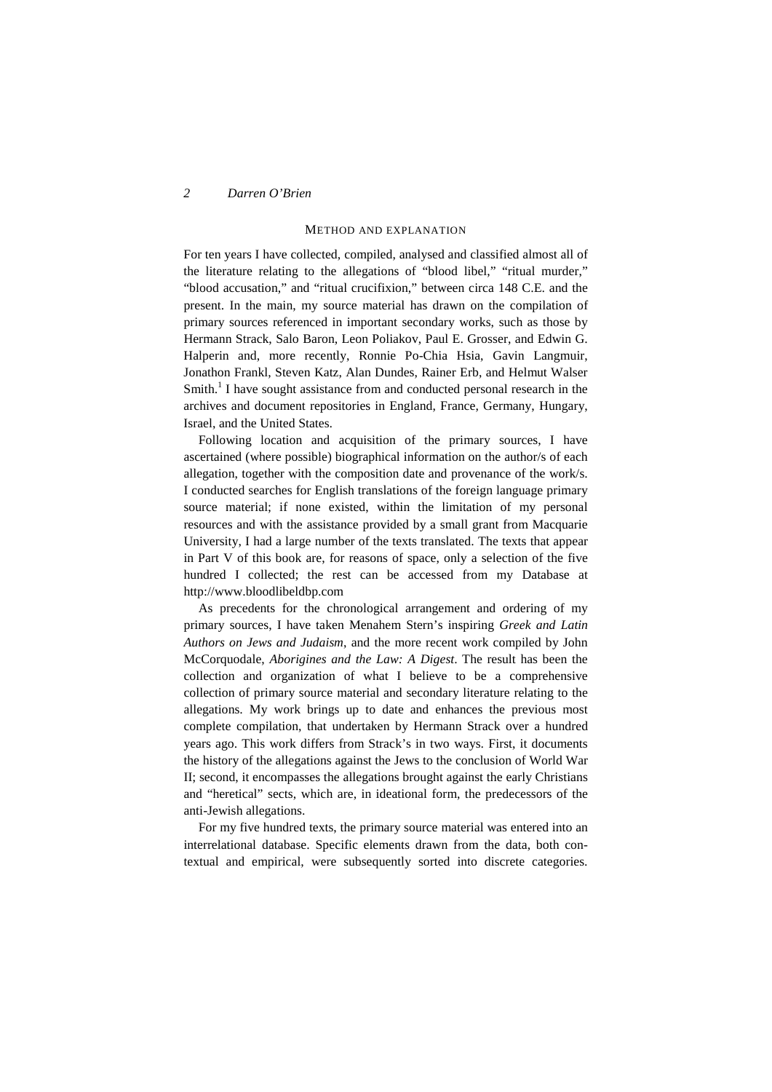*2 Darren O'Brien*

### METHOD AND EXPLANATION

For ten years I have collected, compiled, analysed and classified almost all of the literature relating to the allegations of "blood libel," "ritual murder," "blood accusation," and "ritual crucifixion," between circa 148 C.E. and the present. In the main, my source material has drawn on the compilation of primary sources referenced in important secondary works, such as those by Hermann Strack, Salo Baron, Leon Poliakov, Paul E. Grosser, and Edwin G. Halperin and, more recently, Ronnie Po-Chia Hsia, Gavin Langmuir, Jonathon Frankl, Steven Katz, Alan Dundes, Rainer Erb, and Helmut Walser  $Smith<sup>1</sup>$  I have sought assistance from and conducted personal research in the archives and document repositories in England, France, Germany, Hungary, Israel, and the United States.

Following location and acquisition of the primary sources, I have ascertained (where possible) biographical information on the author/s of each allegation, together with the composition date and provenance of the work/s. I conducted searches for English translations of the foreign language primary source material; if none existed, within the limitation of my personal resources and with the assistance provided by a small grant from Macquarie University, I had a large number of the texts translated. The texts that appear in Part V of this book are, for reasons of space, only a selection of the five hundred I collected; the rest can be accessed from my Database at http://www.bloodlibeldbp.com

As precedents for the chronological arrangement and ordering of my primary sources, I have taken Menahem Stern's inspiring *Greek and Latin Authors on Jews and Judaism*, and the more recent work compiled by John McCorquodale, *Aborigines and the Law: A Digest*. The result has been the collection and organization of what I believe to be a comprehensive collection of primary source material and secondary literature relating to the allegations. My work brings up to date and enhances the previous most complete compilation, that undertaken by Hermann Strack over a hundred years ago. This work differs from Strack's in two ways. First, it documents the history of the allegations against the Jews to the conclusion of World War II; second, it encompasses the allegations brought against the early Christians and "heretical" sects, which are, in ideational form, the predecessors of the anti-Jewish allegations.

For my five hundred texts, the primary source material was entered into an interrelational database. Specific elements drawn from the data, both contextual and empirical, were subsequently sorted into discrete categories.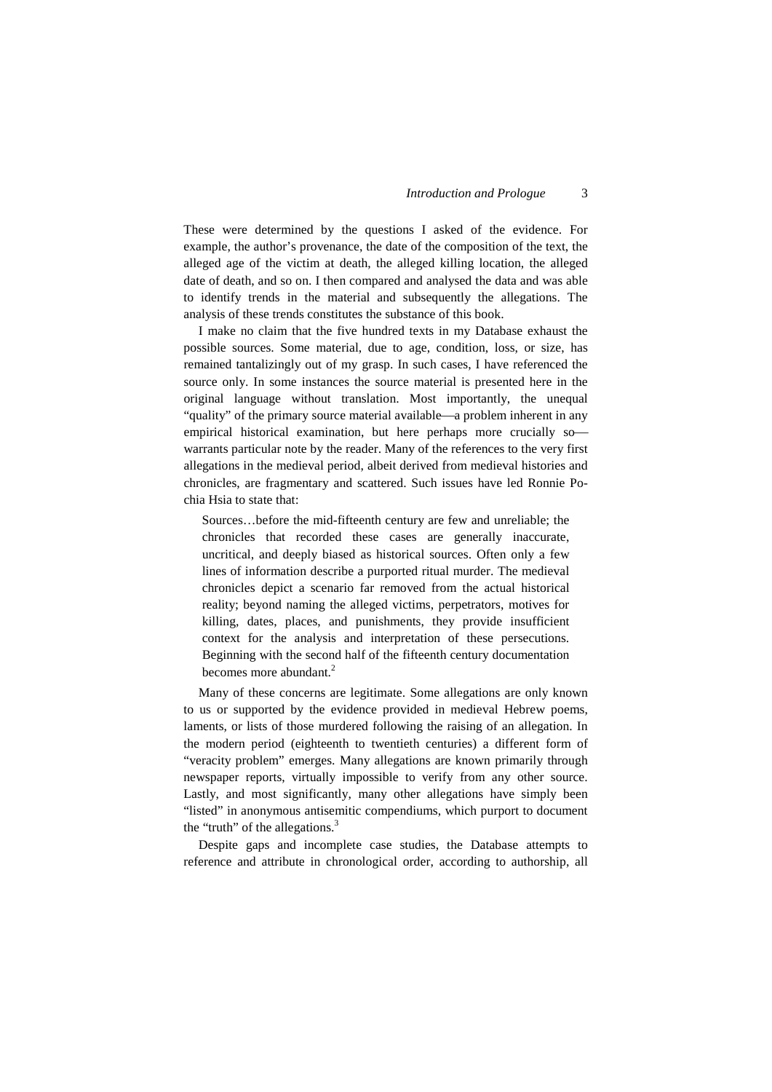These were determined by the questions I asked of the evidence. For example, the author's provenance, the date of the composition of the text, the alleged age of the victim at death, the alleged killing location, the alleged date of death, and so on. I then compared and analysed the data and was able to identify trends in the material and subsequently the allegations. The analysis of these trends constitutes the substance of this book.

I make no claim that the five hundred texts in my Database exhaust the possible sources. Some material, due to age, condition, loss, or size, has remained tantalizingly out of my grasp. In such cases, I have referenced the source only. In some instances the source material is presented here in the original language without translation. Most importantly, the unequal "quality" of the primary source material available—a problem inherent in any empirical historical examination, but here perhaps more crucially sowarrants particular note by the reader. Many of the references to the very first allegations in the medieval period, albeit derived from medieval histories and chronicles, are fragmentary and scattered. Such issues have led Ronnie Pochia Hsia to state that:

Sources…before the mid-fifteenth century are few and unreliable; the chronicles that recorded these cases are generally inaccurate, uncritical, and deeply biased as historical sources. Often only a few lines of information describe a purported ritual murder. The medieval chronicles depict a scenario far removed from the actual historical reality; beyond naming the alleged victims, perpetrators, motives for killing, dates, places, and punishments, they provide insufficient context for the analysis and interpretation of these persecutions. Beginning with the second half of the fifteenth century documentation becomes more abundant.<sup>2</sup>

Many of these concerns are legitimate. Some allegations are only known to us or supported by the evidence provided in medieval Hebrew poems, laments, or lists of those murdered following the raising of an allegation. In the modern period (eighteenth to twentieth centuries) a different form of "veracity problem" emerges. Many allegations are known primarily through newspaper reports, virtually impossible to verify from any other source. Lastly, and most significantly, many other allegations have simply been "listed" in anonymous antisemitic compendiums, which purport to document the "truth" of the allegations.<sup>3</sup>

Despite gaps and incomplete case studies, the Database attempts to reference and attribute in chronological order, according to authorship, all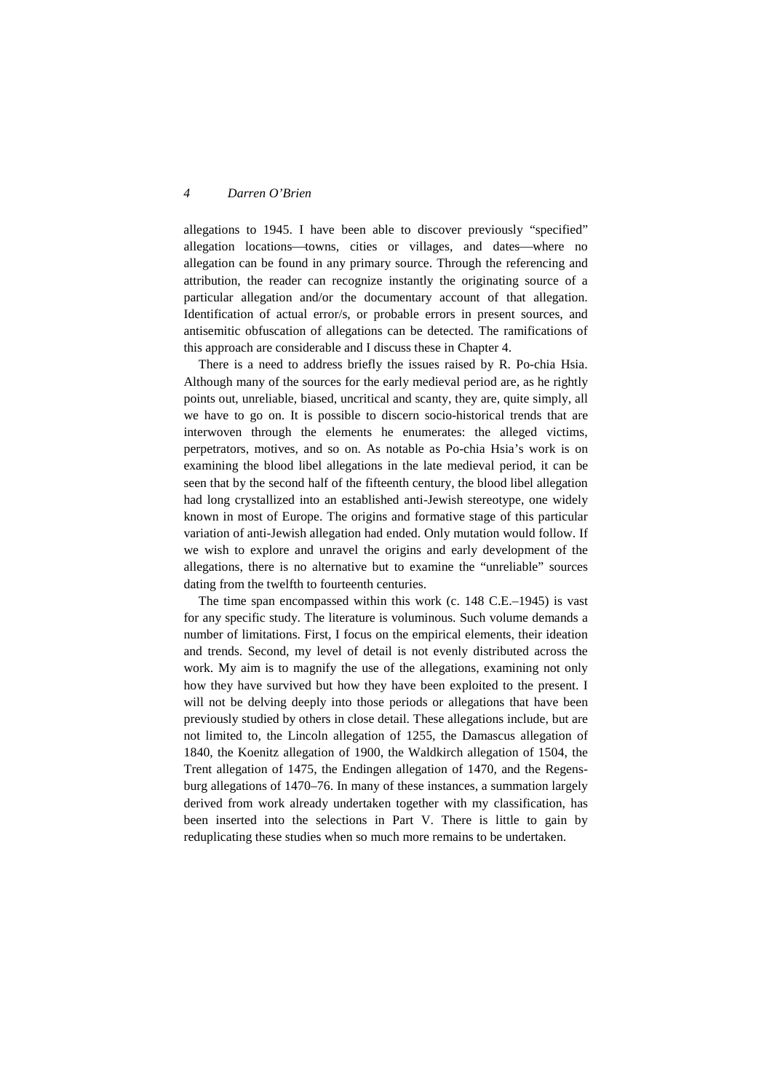### *4 Darren O'Brien*

allegations to 1945. I have been able to discover previously "specified" allegation locations-towns, cities or villages, and dates-where no allegation can be found in any primary source. Through the referencing and attribution, the reader can recognize instantly the originating source of a particular allegation and/or the documentary account of that allegation. Identification of actual error/s, or probable errors in present sources, and antisemitic obfuscation of allegations can be detected. The ramifications of this approach are considerable and I discuss these in Chapter 4.

There is a need to address briefly the issues raised by R. Po-chia Hsia. Although many of the sources for the early medieval period are, as he rightly points out, unreliable, biased, uncritical and scanty, they are, quite simply, all we have to go on. It is possible to discern socio-historical trends that are interwoven through the elements he enumerates: the alleged victims, perpetrators, motives, and so on. As notable as Po-chia Hsia's work is on examining the blood libel allegations in the late medieval period, it can be seen that by the second half of the fifteenth century, the blood libel allegation had long crystallized into an established anti-Jewish stereotype, one widely known in most of Europe. The origins and formative stage of this particular variation of anti-Jewish allegation had ended. Only mutation would follow. If we wish to explore and unravel the origins and early development of the allegations, there is no alternative but to examine the "unreliable" sources dating from the twelfth to fourteenth centuries.

The time span encompassed within this work (c. 148 C.E.–1945) is vast for any specific study. The literature is voluminous. Such volume demands a number of limitations. First, I focus on the empirical elements, their ideation and trends. Second, my level of detail is not evenly distributed across the work. My aim is to magnify the use of the allegations, examining not only how they have survived but how they have been exploited to the present. I will not be delving deeply into those periods or allegations that have been previously studied by others in close detail. These allegations include, but are not limited to, the Lincoln allegation of 1255, the Damascus allegation of 1840, the Koenitz allegation of 1900, the Waldkirch allegation of 1504, the Trent allegation of 1475, the Endingen allegation of 1470, and the Regensburg allegations of 1470–76. In many of these instances, a summation largely derived from work already undertaken together with my classification, has been inserted into the selections in Part V. There is little to gain by reduplicating these studies when so much more remains to be undertaken.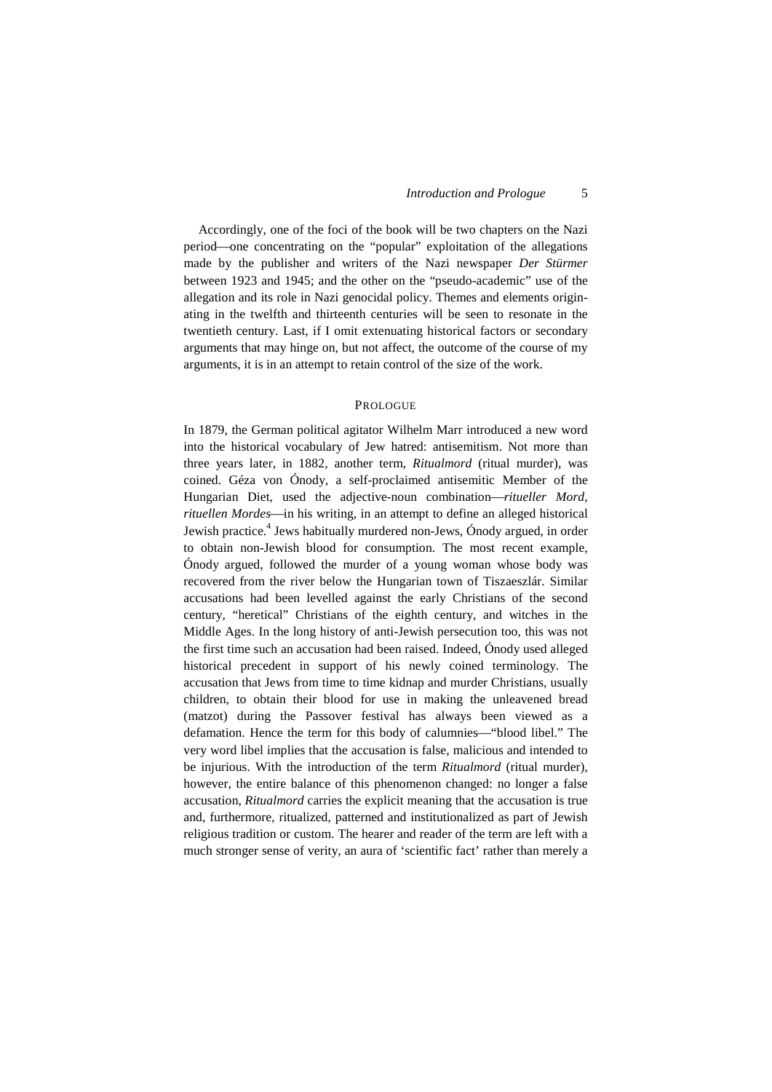Accordingly, one of the foci of the book will be two chapters on the Nazi period—one concentrating on the "popular" exploitation of the allegations made by the publisher and writers of the Nazi newspaper *Der Stürmer* between 1923 and 1945; and the other on the "pseudo-academic" use of the allegation and its role in Nazi genocidal policy. Themes and elements originating in the twelfth and thirteenth centuries will be seen to resonate in the twentieth century. Last, if I omit extenuating historical factors or secondary arguments that may hinge on, but not affect, the outcome of the course of my arguments, it is in an attempt to retain control of the size of the work.

### PROLOGUE

In 1879, the German political agitator Wilhelm Marr introduced a new word into the historical vocabulary of Jew hatred: antisemitism. Not more than three years later, in 1882, another term, *Ritualmord* (ritual murder), was coined. Géza von Ónody, a self-proclaimed antisemitic Member of the Hungarian Diet, used the adjective-noun combination—ritueller Mord, *rituellen Mordes*—in his writing, in an attempt to define an alleged historical Jewish practice.<sup>4</sup> Jews habitually murdered non-Jews, Ónody argued, in order to obtain non-Jewish blood for consumption. The most recent example, Ónody argued, followed the murder of a young woman whose body was recovered from the river below the Hungarian town of Tiszaeszlár. Similar accusations had been levelled against the early Christians of the second century, "heretical" Christians of the eighth century, and witches in the Middle Ages. In the long history of anti-Jewish persecution too, this was not the first time such an accusation had been raised. Indeed, Ónody used alleged historical precedent in support of his newly coined terminology. The accusation that Jews from time to time kidnap and murder Christians, usually children, to obtain their blood for use in making the unleavened bread (matzot) during the Passover festival has always been viewed as a defamation. Hence the term for this body of calumnies—"blood libel." The very word libel implies that the accusation is false, malicious and intended to be injurious. With the introduction of the term *Ritualmord* (ritual murder), however, the entire balance of this phenomenon changed: no longer a false accusation, *Ritualmord* carries the explicit meaning that the accusation is true and, furthermore, ritualized, patterned and institutionalized as part of Jewish religious tradition or custom. The hearer and reader of the term are left with a much stronger sense of verity, an aura of 'scientific fact' rather than merely a